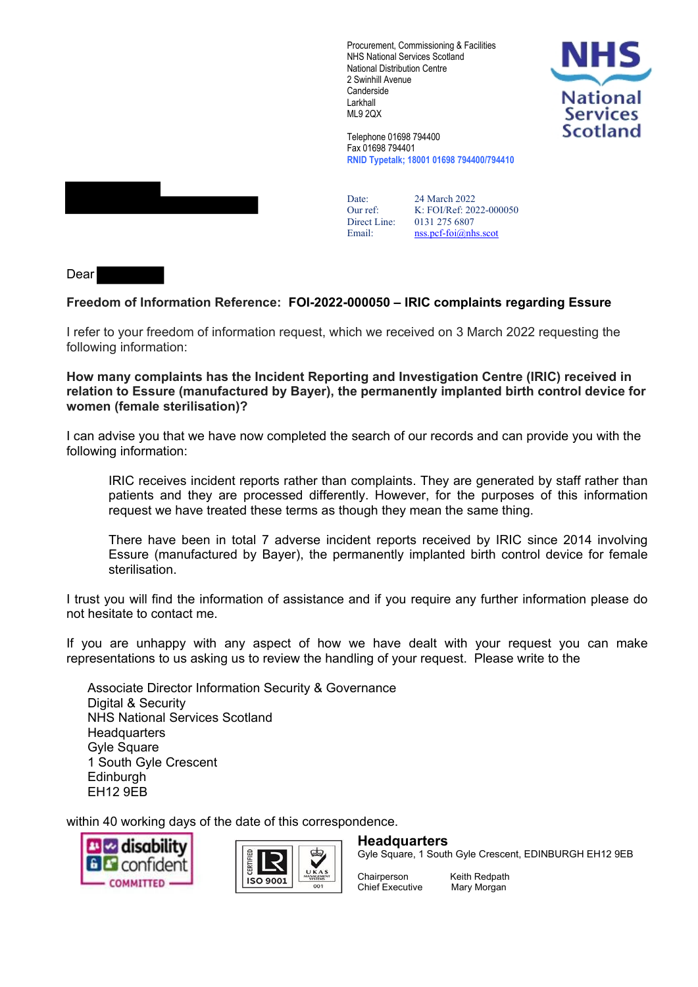Procurement, Commissioning & Facilities NHS National Services Scotland National Distribution Centre 2 Swinhill Avenue **Canderside** Larkhall ML9 2QX



Telephone 01698 794400 Fax 01698 794401 **RNID Typetalk; 18001 01698 794400/794410**

Date: 24 March 2022 Our ref: K: FOI/Ref: 2022-000050 Direct Line: 0131 275 6807 Email: [nss.pcf-foi@nhs.scot](mailto:nss.pcf-foi@nhs.scot)

Dear

## **Freedom of Information Reference: FOI-2022-000050 – IRIC complaints regarding Essure**

I refer to your freedom of information request, which we received on 3 March 2022 requesting the following information:

**How many complaints has the Incident Reporting and Investigation Centre (IRIC) received in relation to Essure (manufactured by Bayer), the permanently implanted birth control device for women (female sterilisation)?**

I can advise you that we have now completed the search of our records and can provide you with the following information:

IRIC receives incident reports rather than complaints. They are generated by staff rather than patients and they are processed differently. However, for the purposes of this information request we have treated these terms as though they mean the same thing.

There have been in total 7 adverse incident reports received by IRIC since 2014 involving Essure (manufactured by Bayer), the permanently implanted birth control device for female sterilisation.

I trust you will find the information of assistance and if you require any further information please do not hesitate to contact me.

If you are unhappy with any aspect of how we have dealt with your request you can make representations to us asking us to review the handling of your request. Please write to the

Associate Director Information Security & Governance Digital & Security NHS National Services Scotland **Headquarters** Gyle Square 1 South Gyle Crescent **Edinburgh** EH12 9EB

within 40 working days of the date of this correspondence.





**Headquarters**

Gyle Square, 1 South Gyle Crescent, EDINBURGH EH12 9EB

Chief Executive Mary Morgan

Chairperson Keith Redpath